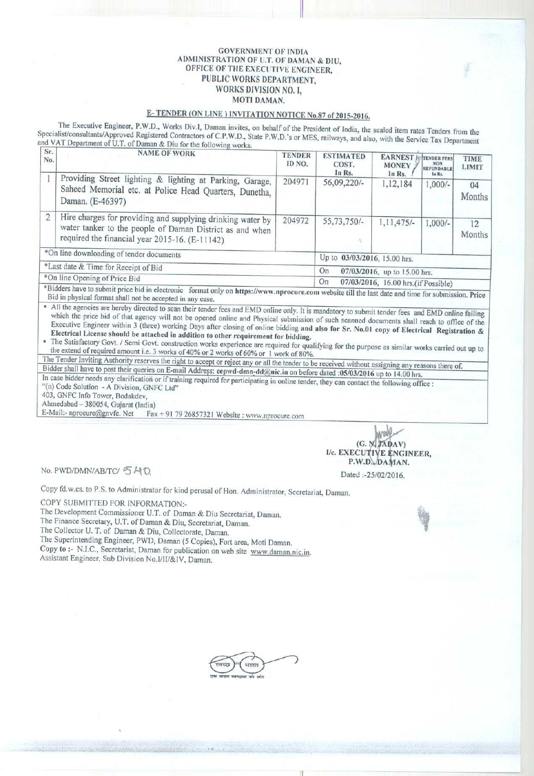#### GOVERNMENT OF INDIA ADMINISTRATION OF U.T. OF DAMAN & DIU, OFFICE OF THE EXECUTIVE ENGINEER, PUBLIC WORKS DEPARTMENT, WORKS DIVISION NO. I, MOTI DAMAN.

# E- TENDER (ON LINE) INVITATION NOTICE No 87 of 2015 **-**2016**.**

|                                          | E-TENDER (ON LINE) INVITATION NOTICE No.87 of 2015-2016.                                                                                                                                                                                                                                                                                                        |                         |                                                                      |                                                        |                                           |                             |  |
|------------------------------------------|-----------------------------------------------------------------------------------------------------------------------------------------------------------------------------------------------------------------------------------------------------------------------------------------------------------------------------------------------------------------|-------------------------|----------------------------------------------------------------------|--------------------------------------------------------|-------------------------------------------|-----------------------------|--|
|                                          | The Executive Engineer, P.W.D., Works Div.I, Daman invites, on behalf of the President of India, the sealed item rates Tenders from the<br>Specialist/consultants/Approved Registered Contractors of C.P.W.D., State P.W.D.'s or MES, railways, and also, with the Service Tax Department<br>and VAT Department of U.T. of Daman & Diu for the following works. |                         |                                                                      |                                                        |                                           |                             |  |
| Sr.<br>No.                               | <b>NAME OF WORK</b>                                                                                                                                                                                                                                                                                                                                             | <b>TENDER</b><br>ID NO. | <b>ESTIMATED</b><br>COST.<br>In Rs.                                  | <b>EARNEST MOTENDER FEES</b><br><b>MONEY</b><br>In Rs. | <b>NON</b><br><b>REFUNDABLE</b><br>In Rs. | <b>TIME</b><br><b>LIMIT</b> |  |
|                                          | Providing Street lighting & lighting at Parking, Garage,<br>Saheed Memorial etc. at Police Head Quarters, Dunetha,<br>Daman. (E-46397)                                                                                                                                                                                                                          | 204971                  | 56,09,220/-                                                          | 1,12,184                                               | $1,000/-$                                 | 04<br>Months                |  |
| $\overline{2}$                           | Hire charges for providing and supplying drinking water by<br>water tanker to the people of Daman District as and when<br>required the financial year 2015-16. (E-11142)                                                                                                                                                                                        | 204972                  | 55,73,750/-                                                          | $1,11,475/-$                                           | $1,000/-$                                 | 12<br>Months                |  |
| *On line downloading of tender documents |                                                                                                                                                                                                                                                                                                                                                                 |                         | Up to 03/03/2016, 15.00 hrs.                                         |                                                        |                                           |                             |  |
| *Last date & Time for Receipt of Bid     |                                                                                                                                                                                                                                                                                                                                                                 |                         | On<br>07/03/2016, up to 15.00 hrs.                                   |                                                        |                                           |                             |  |
| *On line Opening of Price Bid            |                                                                                                                                                                                                                                                                                                                                                                 |                         | On<br>07/03/2016, 16.00 hrs.(if Possible)                            |                                                        |                                           |                             |  |
|                                          | *Bidders have to submit price bid in electronic format only on https://www.armore.                                                                                                                                                                                                                                                                              |                         | $\mathbf{v} = \mathbf{v}$ , and the set of $\mathbf{v} = \mathbf{v}$ |                                                        |                                           |                             |  |

\* Bidders have to submit price bid in electronic format only on https://www. **nprocure** .com website till the last date and time for submission . Price Bid in physical format shall not be accepted in any case.

<sup>a</sup> All the agencies are hereby directed to scan their tender fees and EMD online only. It is mandatory to submit tender fees and EMD online failing which the price bid of that agency will not be opened online and Physical submission of such scanned documents shall reach to office of the Executive Engineer within 3 (three) working Days after closing of online bidding and also for Sr. No.01 copy of Electrical Registration & Electrical Registration & Electrical License should be attached in addition to other requirement for bidding. n

The Satisfactory Govt. / Semi Govt. construction works experience are required for qualifying for the purpose as similar works carried out up to the extend of required amount i.e. 3 works of 40% or 2 works of  $60\%$  or 1 work of  $80\%$ 

The Tender Inviting Authority reserves the right to accept or reject any or all the tender to be received without assigning any reasons there of. Bidder shall have to post their queries on E-mail Address: cepwd-dmn-dd@nic.in on before dated :05/03/2016 up to 14.00 hrs.

In case bidder needs any clarification or if training required for participating in online tender, they can contact the following office :

"(n) Code Solution - A Division, GNFC Ltd"

403, GNFC Info Tower, Bodakdev,

Ahmedabad - 380054, Gujarat (India)

E-Mail:- nprocure@gnvfc. Net Fax + 91 79 26857321 Website: www.nprocure.com

 $(G, N, JADAV)$ **1/c. EXECUTIVE ENGINEER,** P.W.D., DAMAN.

**No. PWD/DMN/AB/TC/ 540.** 

**Dated** :-**25/02/2016.**

Copy fd.w.cs. to P.S. to Administrator for kind perusal of Hon. Administrator, Secretariat, Daman.

COPY SUBMITTED FOR INFORMATION:-

The Development Commissioner U.T. of Daman & Diu Secretariat, Daman.

The Finance Secretary, U.T. of Daman & Diu, Secretariat, Daman.

The Collector U. T. of Daman & Diu, Collectorate, Daman.

The Superintending Engineer, PWD, Daman (5 Copies), Fort area, Moti Daman.

Copy to :- N.I.C., Secretariat, Daman for publication on web site www.daman.nic.in. Assistant Engineer. Sub Division No.l/11/&IV, Daman.